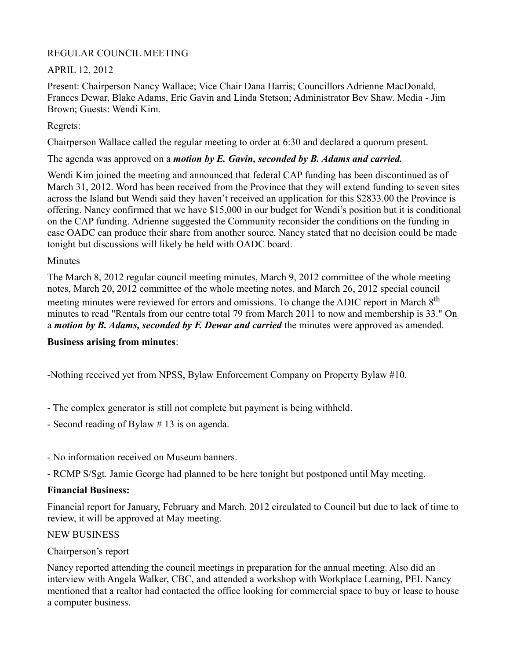#### REGULAR COUNCIL MEETING

# APRIL 12, 2012

Present: Chairperson Nancy Wallace; Vice Chair Dana Harris; Councillors Adrienne MacDonald, Frances Dewar, Blake Adams, Eric Gavin and Linda Stetson; Administrator Bev Shaw. Media - Jim Brown; Guests: Wendi Kim.

# Regrets:

Chairperson Wallace called the regular meeting to order at 6:30 and declared a quorum present.

### The agenda was approved on a *motion by E. Gavin, seconded by B. Adams and carried.*

Wendi Kim joined the meeting and announced that federal CAP funding has been discontinued as of March 31, 2012. Word has been received from the Province that they will extend funding to seven sites across the Island but Wendi said they haven't received an application for this \$2833.00 the Province is offering. Nancy confirmed that we have \$15,000 in our budget for Wendi's position but it is conditional on the CAP funding. Adrienne suggested the Community reconsider the conditions on the funding in case OADC can produce their share from another source. Nancy stated that no decision could be made tonight but discussions will likely be held with OADC board.

### Minutes

The March 8, 2012 regular council meeting minutes, March 9, 2012 committee of the whole meeting notes, March 20, 2012 committee of the whole meeting notes, and March 26, 2012 special council meeting minutes were reviewed for errors and omissions. To change the ADIC report in March 8<sup>th</sup> minutes to read "Rentals from our centre total 79 from March 2011 to now and membership is 33." On a *motion by B. Adams, seconded by F. Dewar and carried* the minutes were approved as amended.

# **Business arising from minutes**:

-Nothing received yet from NPSS, Bylaw Enforcement Company on Property Bylaw #10.

- The complex generator is still not complete but payment is being withheld.
- Second reading of Bylaw # 13 is on agenda.
- No information received on Museum banners.
- RCMP S/Sgt. Jamie George had planned to be here tonight but postponed until May meeting.

# **Financial Business:**

Financial report for January, February and March, 2012 circulated to Council but due to lack of time to review, it will be approved at May meeting.

# NEW BUSINESS

# Chairperson's report

Nancy reported attending the council meetings in preparation for the annual meeting. Also did an interview with Angela Walker, CBC, and attended a workshop with Workplace Learning, PEI. Nancy mentioned that a realtor had contacted the office looking for commercial space to buy or lease to house a computer business.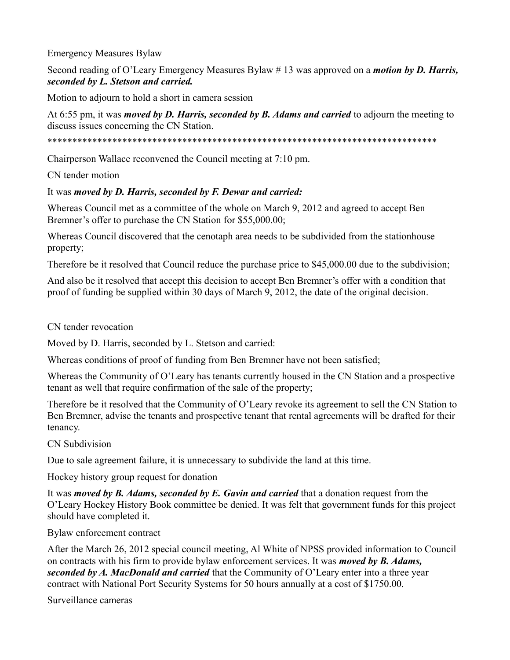Emergency Measures Bylaw

Second reading of O'Leary Emergency Measures Bylaw # 13 was approved on a *motion by D. Harris, seconded by L. Stetson and carried.*

Motion to adjourn to hold a short in camera session

At 6:55 pm, it was *moved by D. Harris, seconded by B. Adams and carried* to adjourn the meeting to discuss issues concerning the CN Station.

\*\*\*\*\*\*\*\*\*\*\*\*\*\*\*\*\*\*\*\*\*\*\*\*\*\*\*\*\*\*\*\*\*\*\*\*\*\*\*\*\*\*\*\*\*\*\*\*\*\*\*\*\*\*\*\*\*\*\*\*\*\*\*\*\*\*\*\*\*\*\*\*\*\*\*\*\*\*

Chairperson Wallace reconvened the Council meeting at 7:10 pm.

CN tender motion

### It was *moved by D. Harris, seconded by F. Dewar and carried:*

Whereas Council met as a committee of the whole on March 9, 2012 and agreed to accept Ben Bremner's offer to purchase the CN Station for \$55,000.00;

Whereas Council discovered that the cenotaph area needs to be subdivided from the stationhouse property;

Therefore be it resolved that Council reduce the purchase price to \$45,000.00 due to the subdivision;

And also be it resolved that accept this decision to accept Ben Bremner's offer with a condition that proof of funding be supplied within 30 days of March 9, 2012, the date of the original decision.

CN tender revocation

Moved by D. Harris, seconded by L. Stetson and carried:

Whereas conditions of proof of funding from Ben Bremner have not been satisfied;

Whereas the Community of O'Leary has tenants currently housed in the CN Station and a prospective tenant as well that require confirmation of the sale of the property;

Therefore be it resolved that the Community of O'Leary revoke its agreement to sell the CN Station to Ben Bremner, advise the tenants and prospective tenant that rental agreements will be drafted for their tenancy.

CN Subdivision

Due to sale agreement failure, it is unnecessary to subdivide the land at this time.

Hockey history group request for donation

It was *moved by B. Adams, seconded by E. Gavin and carried* that a donation request from the O'Leary Hockey History Book committee be denied. It was felt that government funds for this project should have completed it.

Bylaw enforcement contract

After the March 26, 2012 special council meeting, Al White of NPSS provided information to Council on contracts with his firm to provide bylaw enforcement services. It was *moved by B. Adams, seconded by A. MacDonald and carried* that the Community of O'Leary enter into a three year contract with National Port Security Systems for 50 hours annually at a cost of \$1750.00.

Surveillance cameras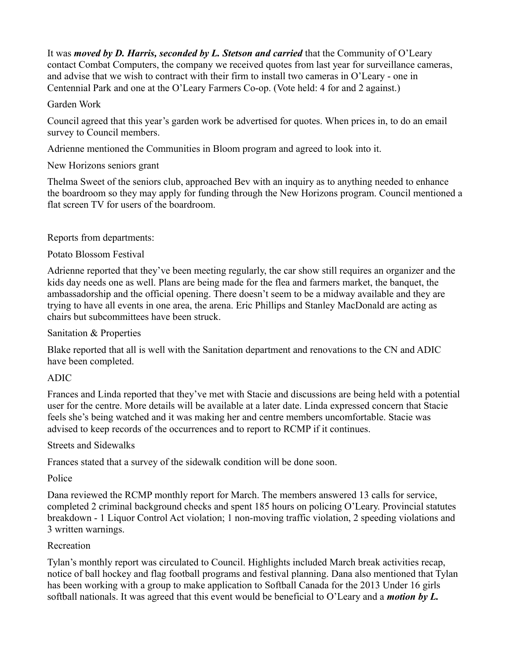It was *moved by D. Harris, seconded by L. Stetson and carried* that the Community of O'Leary contact Combat Computers, the company we received quotes from last year for surveillance cameras, and advise that we wish to contract with their firm to install two cameras in O'Leary - one in Centennial Park and one at the O'Leary Farmers Co-op. (Vote held: 4 for and 2 against.)

#### Garden Work

Council agreed that this year's garden work be advertised for quotes. When prices in, to do an email survey to Council members.

Adrienne mentioned the Communities in Bloom program and agreed to look into it.

# New Horizons seniors grant

Thelma Sweet of the seniors club, approached Bev with an inquiry as to anything needed to enhance the boardroom so they may apply for funding through the New Horizons program. Council mentioned a flat screen TV for users of the boardroom.

# Reports from departments:

### Potato Blossom Festival

Adrienne reported that they've been meeting regularly, the car show still requires an organizer and the kids day needs one as well. Plans are being made for the flea and farmers market, the banquet, the ambassadorship and the official opening. There doesn't seem to be a midway available and they are trying to have all events in one area, the arena. Eric Phillips and Stanley MacDonald are acting as chairs but subcommittees have been struck.

### Sanitation & Properties

Blake reported that all is well with the Sanitation department and renovations to the CN and ADIC have been completed.

# ADIC

Frances and Linda reported that they've met with Stacie and discussions are being held with a potential user for the centre. More details will be available at a later date. Linda expressed concern that Stacie feels she's being watched and it was making her and centre members uncomfortable. Stacie was advised to keep records of the occurrences and to report to RCMP if it continues.

# Streets and Sidewalks

Frances stated that a survey of the sidewalk condition will be done soon.

# Police

Dana reviewed the RCMP monthly report for March. The members answered 13 calls for service, completed 2 criminal background checks and spent 185 hours on policing O'Leary. Provincial statutes breakdown - 1 Liquor Control Act violation; 1 non-moving traffic violation, 2 speeding violations and 3 written warnings.

# Recreation

Tylan's monthly report was circulated to Council. Highlights included March break activities recap, notice of ball hockey and flag football programs and festival planning. Dana also mentioned that Tylan has been working with a group to make application to Softball Canada for the 2013 Under 16 girls softball nationals. It was agreed that this event would be beneficial to O'Leary and a *motion by L.*